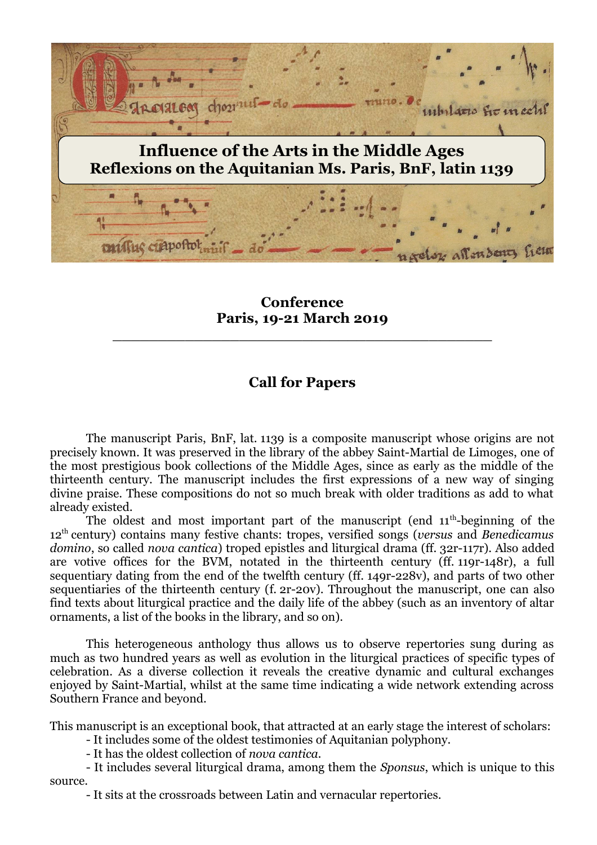

**Conference Paris, 19-21 March 2019**

\_\_\_\_\_\_\_\_\_\_\_\_\_\_\_\_\_\_\_\_\_\_\_\_\_\_\_\_\_\_\_\_\_\_\_\_\_\_\_\_\_\_

# **Call for Papers**

The manuscript Paris, BnF, lat. 1139 is a composite manuscript whose origins are not precisely known. It was preserved in the library of the abbey Saint-Martial de Limoges, one of the most prestigious book collections of the Middle Ages, since as early as the middle of the thirteenth century. The manuscript includes the first expressions of a new way of singing divine praise. These compositions do not so much break with older traditions as add to what already existed.

The oldest and most important part of the manuscript (end  $11<sup>th</sup>$ -beginning of the 12th century) contains many festive chants: tropes, versified songs (*versus* and *Benedicamus domino*, so called *nova cantica*) troped epistles and liturgical drama (ff. 32r-117r). Also added are votive offices for the BVM, notated in the thirteenth century (ff. 119r-148r), a full sequentiary dating from the end of the twelfth century (ff. 149r-228v), and parts of two other sequentiaries of the thirteenth century (f. 2r-20v). Throughout the manuscript, one can also find texts about liturgical practice and the daily life of the abbey (such as an inventory of altar ornaments, a list of the books in the library, and so on).

This heterogeneous anthology thus allows us to observe repertories sung during as much as two hundred years as well as evolution in the liturgical practices of specific types of celebration. As a diverse collection it reveals the creative dynamic and cultural exchanges enjoyed by Saint-Martial, whilst at the same time indicating a wide network extending across Southern France and beyond.

This manuscript is an exceptional book, that attracted at an early stage the interest of scholars:

- It includes some of the oldest testimonies of Aquitanian polyphony.
- It has the oldest collection of *nova cantica.*
- It includes several liturgical drama, among them the *Sponsus*, which is unique to this source.
	- It sits at the crossroads between Latin and vernacular repertories.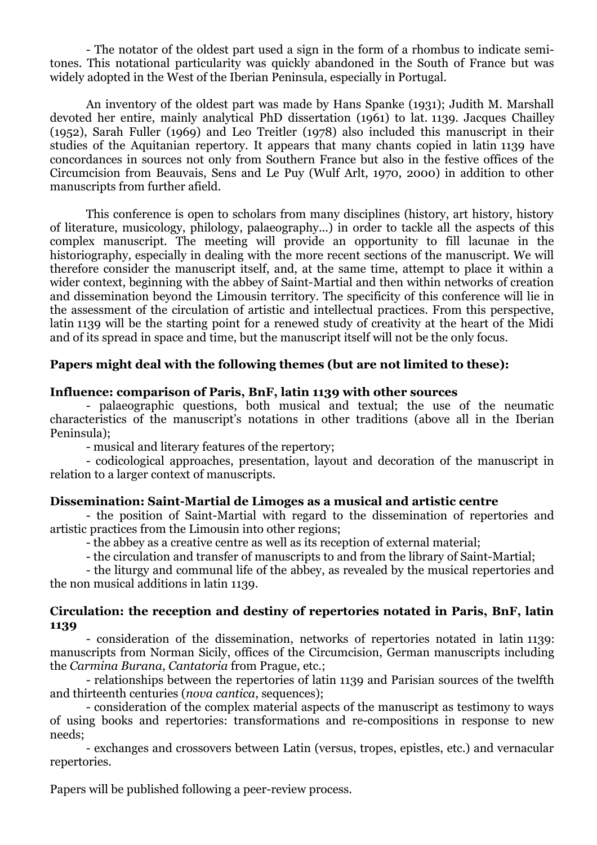- The notator of the oldest part used a sign in the form of a rhombus to indicate semitones. This notational particularity was quickly abandoned in the South of France but was widely adopted in the West of the Iberian Peninsula, especially in Portugal.

An inventory of the oldest part was made by Hans Spanke (1931); Judith M. Marshall devoted her entire, mainly analytical PhD dissertation (1961) to lat. 1139. Jacques Chailley (1952), Sarah Fuller (1969) and Leo Treitler (1978) also included this manuscript in their studies of the Aquitanian repertory. It appears that many chants copied in latin 1139 have concordances in sources not only from Southern France but also in the festive offices of the Circumcision from Beauvais, Sens and Le Puy (Wulf Arlt, 1970, 2000) in addition to other manuscripts from further afield.

This conference is open to scholars from many disciplines (history, art history, history of literature, musicology, philology, palaeography...) in order to tackle all the aspects of this complex manuscript. The meeting will provide an opportunity to fill lacunae in the historiography, especially in dealing with the more recent sections of the manuscript. We will therefore consider the manuscript itself, and, at the same time, attempt to place it within a wider context, beginning with the abbey of Saint-Martial and then within networks of creation and dissemination beyond the Limousin territory. The specificity of this conference will lie in the assessment of the circulation of artistic and intellectual practices. From this perspective, latin 1139 will be the starting point for a renewed study of creativity at the heart of the Midi and of its spread in space and time, but the manuscript itself will not be the only focus.

### **Papers might deal with the following themes (but are not limited to these):**

#### **Influence: comparison of Paris, BnF, latin 1139 with other sources**

- palaeographic questions, both musical and textual; the use of the neumatic characteristics of the manuscript's notations in other traditions (above all in the Iberian Peninsula);

- musical and literary features of the repertory;

- codicological approaches, presentation, layout and decoration of the manuscript in relation to a larger context of manuscripts.

#### **Dissemination: Saint-Martial de Limoges as a musical and artistic centre**

- the position of Saint-Martial with regard to the dissemination of repertories and artistic practices from the Limousin into other regions;

- the abbey as a creative centre as well as its reception of external material;

- the circulation and transfer of manuscripts to and from the library of Saint-Martial;

- the liturgy and communal life of the abbey, as revealed by the musical repertories and the non musical additions in latin 1139.

#### **Circulation: the reception and destiny of repertories notated in Paris, BnF, latin 1139**

- consideration of the dissemination, networks of repertories notated in latin 1139: manuscripts from Norman Sicily, offices of the Circumcision, German manuscripts including the *Carmina Burana*, *Cantatoria* from Prague, etc.;

- relationships between the repertories of latin 1139 and Parisian sources of the twelfth and thirteenth centuries (*nova cantica*, sequences);

- consideration of the complex material aspects of the manuscript as testimony to ways of using books and repertories: transformations and re-compositions in response to new needs;

- exchanges and crossovers between Latin (versus, tropes, epistles, etc.) and vernacular repertories.

Papers will be published following a peer-review process.